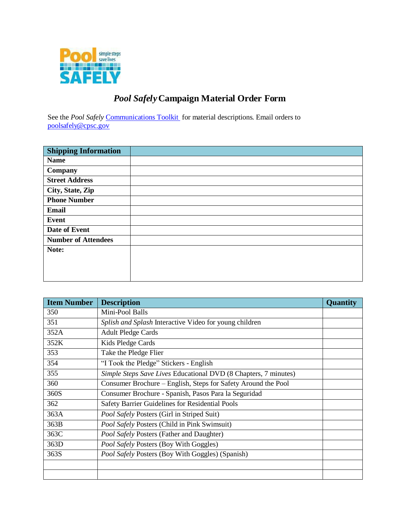

## *Pool Safely***Campaign Material Order Form**

See the *Pool Safely* [Communications](http://www.poolsafely.gov/wp-content/uploads/2014/08/CPSC-Communications-Toolkit_2014.pdf) Toolkit for material descriptions. Email orders to [poolsafely@cpsc.gov](mailto:poolsafely@cpsc.gov)

| <b>Shipping Information</b> |  |
|-----------------------------|--|
| <b>Name</b>                 |  |
| Company                     |  |
| <b>Street Address</b>       |  |
| City, State, Zip            |  |
| <b>Phone Number</b>         |  |
| <b>Email</b>                |  |
| <b>Event</b>                |  |
| Date of Event               |  |
| <b>Number of Attendees</b>  |  |
| Note:                       |  |
|                             |  |
|                             |  |
|                             |  |

| <b>Item Number</b> | <b>Description</b>                                              | <b>Quantity</b> |
|--------------------|-----------------------------------------------------------------|-----------------|
| 350                | Mini-Pool Balls                                                 |                 |
| 351                | Splish and Splash Interactive Video for young children          |                 |
| 352A               | <b>Adult Pledge Cards</b>                                       |                 |
| 352K               | Kids Pledge Cards                                               |                 |
| 353                | Take the Pledge Flier                                           |                 |
| 354                | "I Took the Pledge" Stickers - English                          |                 |
| 355                | Simple Steps Save Lives Educational DVD (8 Chapters, 7 minutes) |                 |
| 360                | Consumer Brochure – English, Steps for Safety Around the Pool   |                 |
| 360S               | Consumer Brochure - Spanish, Pasos Para la Seguridad            |                 |
| 362                | Safety Barrier Guidelines for Residential Pools                 |                 |
| 363A               | <b>Pool Safely Posters (Girl in Striped Suit)</b>               |                 |
| 363B               | Pool Safely Posters (Child in Pink Swimsuit)                    |                 |
| 363C               | <b>Pool Safely Posters (Father and Daughter)</b>                |                 |
| 363D               | Pool Safely Posters (Boy With Goggles)                          |                 |
| 363S               | <b>Pool Safely Posters (Boy With Goggles) (Spanish)</b>         |                 |
|                    |                                                                 |                 |
|                    |                                                                 |                 |